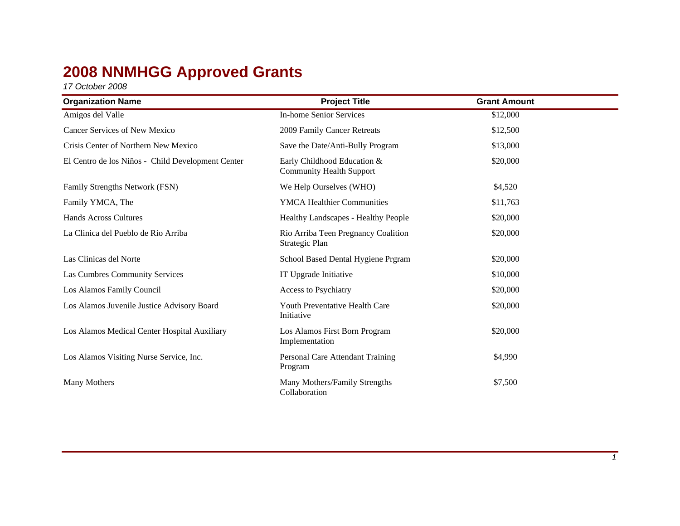## **2008 NNMHGG Approved Grants**

*17 October 2008*

| <b>Organization Name</b>                          | <b>Project Title</b>                                           | <b>Grant Amount</b> |  |
|---------------------------------------------------|----------------------------------------------------------------|---------------------|--|
| Amigos del Valle                                  | <b>In-home Senior Services</b>                                 | \$12,000            |  |
| <b>Cancer Services of New Mexico</b>              | 2009 Family Cancer Retreats                                    | \$12,500            |  |
| Crisis Center of Northern New Mexico              | Save the Date/Anti-Bully Program                               | \$13,000            |  |
| El Centro de los Niños - Child Development Center | Early Childhood Education &<br><b>Community Health Support</b> | \$20,000            |  |
| Family Strengths Network (FSN)                    | We Help Ourselves (WHO)                                        | \$4,520             |  |
| Family YMCA, The                                  | <b>YMCA Healthier Communities</b>                              | \$11,763            |  |
| <b>Hands Across Cultures</b>                      | Healthy Landscapes - Healthy People                            | \$20,000            |  |
| La Clinica del Pueblo de Rio Arriba               | Rio Arriba Teen Pregnancy Coalition<br>Strategic Plan          | \$20,000            |  |
| Las Clinicas del Norte                            | School Based Dental Hygiene Prgram                             | \$20,000            |  |
| Las Cumbres Community Services                    | IT Upgrade Initiative                                          | \$10,000            |  |
| Los Alamos Family Council                         | Access to Psychiatry                                           | \$20,000            |  |
| Los Alamos Juvenile Justice Advisory Board        | Youth Preventative Health Care<br>Initiative                   | \$20,000            |  |
| Los Alamos Medical Center Hospital Auxiliary      | Los Alamos First Born Program<br>Implementation                | \$20,000            |  |
| Los Alamos Visiting Nurse Service, Inc.           | Personal Care Attendant Training<br>Program                    | \$4,990             |  |
| Many Mothers                                      | Many Mothers/Family Strengths<br>Collaboration                 | \$7,500             |  |